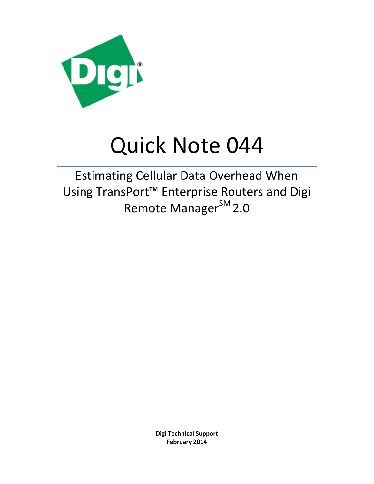

# Quick Note 044

Estimating Cellular Data Overhead When Using TransPort™ Enterprise Routers and Digi Remote Manager<sup>SM</sup> 2.0

> **Digi Technical Support February 2014**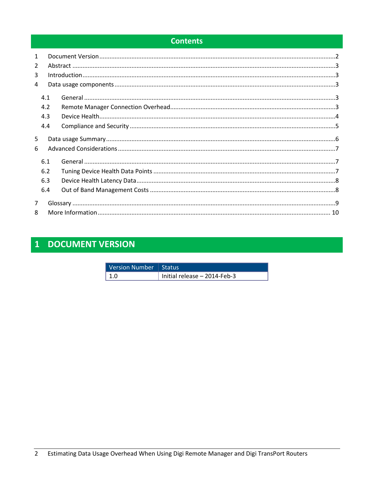## **Contents**

| $\mathbf{1}$   |     |  |  |  |
|----------------|-----|--|--|--|
| $\overline{2}$ |     |  |  |  |
| 3              |     |  |  |  |
| 4              |     |  |  |  |
|                | 4.1 |  |  |  |
|                | 4.2 |  |  |  |
|                | 4.3 |  |  |  |
|                | 4.4 |  |  |  |
| 5              |     |  |  |  |
| 6              |     |  |  |  |
|                | 6.1 |  |  |  |
|                | 6.2 |  |  |  |
|                | 6.3 |  |  |  |
|                | 6.4 |  |  |  |
| 7              |     |  |  |  |
| 8              |     |  |  |  |

# <span id="page-1-0"></span>1 DOCUMENT VERSION

| Version Number   Status |                                |
|-------------------------|--------------------------------|
| $\vert$ 1.0             | Initial release $-$ 2014-Feb-3 |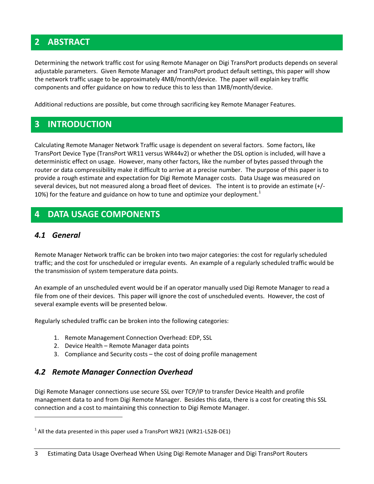## <span id="page-2-0"></span>**2 ABSTRACT**

Determining the network traffic cost for using Remote Manager on Digi TransPort products depends on several adjustable parameters. Given Remote Manager and TransPort product default settings, this paper will show the network traffic usage to be approximately 4MB/month/device. The paper will explain key traffic components and offer guidance on how to reduce this to less than 1MB/month/device.

Additional reductions are possible, but come through sacrificing key Remote Manager Features.

## <span id="page-2-1"></span>**3 INTRODUCTION**

Calculating Remote Manager Network Traffic usage is dependent on several factors. Some factors, like TransPort Device Type (TransPort WR11 versus WR44v2) or whether the DSL option is included, will have a deterministic effect on usage. However, many other factors, like the number of bytes passed through the router or data compressibility make it difficult to arrive at a precise number. The purpose of this paper is to provide a rough estimate and expectation for Digi Remote Manager costs. Data Usage was measured on several devices, but not measured along a broad fleet of devices. The intent is to provide an estimate (+/- 10%) for the feature and guidance on how to tune and optimize your deployment.<sup>1</sup>

## <span id="page-2-2"></span>**4 DATA USAGE COMPONENTS**

#### <span id="page-2-3"></span>*4.1 General*

 $\overline{\phantom{a}}$ 

Remote Manager Network traffic can be broken into two major categories: the cost for regularly scheduled traffic; and the cost for unscheduled or irregular events. An example of a regularly scheduled traffic would be the transmission of system temperature data points.

An example of an unscheduled event would be if an operator manually used Digi Remote Manager to read a file from one of their devices. This paper will ignore the cost of unscheduled events. However, the cost of several example events will be presented below.

Regularly scheduled traffic can be broken into the following categories:

- 1. Remote Management Connection Overhead: EDP, SSL
- 2. Device Health Remote Manager data points
- 3. Compliance and Security costs the cost of doing profile management

#### <span id="page-2-4"></span>*4.2 Remote Manager Connection Overhead*

Digi Remote Manager connections use secure SSL over TCP/IP to transfer Device Health and profile management data to and from Digi Remote Manager. Besides this data, there is a cost for creating this SSL connection and a cost to maintaining this connection to Digi Remote Manager.

 $^1$  All the data presented in this paper used a TransPort WR21 (WR21-L52B-DE1)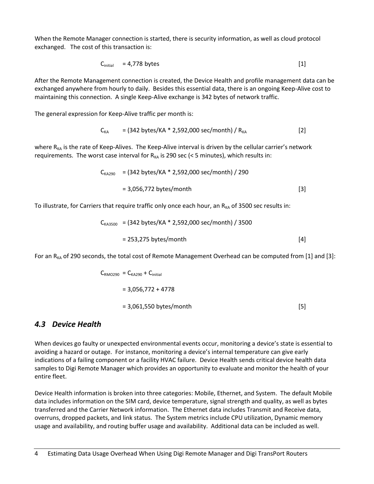When the Remote Manager connection is started, there is security information, as well as cloud protocol exchanged. The cost of this transaction is:

$$
C_{initial} = 4,778 \text{ bytes} \tag{1}
$$

After the Remote Management connection is created, the Device Health and profile management data can be exchanged anywhere from hourly to daily. Besides this essential data, there is an ongoing Keep-Alive cost to maintaining this connection. A single Keep-Alive exchange is 342 bytes of network traffic.

The general expression for Keep-Alive traffic per month is:

$$
C_{KA} = (342 bytes/KA * 2,592,000 sec/month) / R_{KA}
$$
 [2]

where  $R_{KA}$  is the rate of Keep-Alives. The Keep-Alive interval is driven by the cellular carrier's network requirements. The worst case interval for  $R_{KA}$  is 290 sec (< 5 minutes), which results in:

$$
C_{\text{KA290}}
$$
 = (342 bytes/KA \* 2,592,000 sec/month) / 290  
= 3,056,772 bytes/month [3]

To illustrate, for Carriers that require traffic only once each hour, an  $R_{KA}$  of 3500 sec results in:

$$
C_{\text{KAS500}} = (342 \text{ bytes/KA} * 2,592,000 \text{ sec/month}) / 3500
$$
  
= 253,275 bytes/month [4]

For an  $R_{KA}$  of 290 seconds, the total cost of Remote Management Overhead can be computed from [1] and [3]:

$$
C_{\text{RMO290}} = C_{\text{KA290}} + C_{\text{initial}}
$$
  
= 3,056,772 + 4778  
= 3,061,550 bytes/month [5]

#### <span id="page-3-0"></span>*4.3 Device Health*

When devices go faulty or unexpected environmental events occur, monitoring a device's state is essential to avoiding a hazard or outage. For instance, monitoring a device's internal temperature can give early indications of a failing component or a facility HVAC failure. Device Health sends critical device health data samples to Digi Remote Manager which provides an opportunity to evaluate and monitor the health of your entire fleet.

Device Health information is broken into three categories: Mobile, Ethernet, and System. The default Mobile data includes information on the SIM card, device temperature, signal strength and quality, as well as bytes transferred and the Carrier Network information. The Ethernet data includes Transmit and Receive data, overruns, dropped packets, and link status. The System metrics include CPU utilization, Dynamic memory usage and availability, and routing buffer usage and availability. Additional data can be included as well.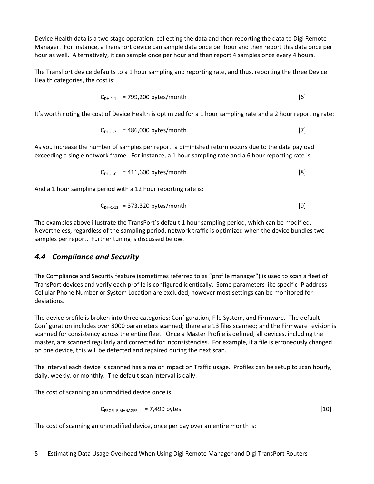Device Health data is a two stage operation: collecting the data and then reporting the data to Digi Remote Manager. For instance, a TransPort device can sample data once per hour and then report this data once per hour as well. Alternatively, it can sample once per hour and then report 4 samples once every 4 hours.

The TransPort device defaults to a 1 hour sampling and reporting rate, and thus, reporting the three Device Health categories, the cost is:

$$
C_{DH-1-1} = 799,200 bytes/month
$$
 [6]

It's worth noting the cost of Device Health is optimized for a 1 hour sampling rate and a 2 hour reporting rate:

$$
C_{DH-1-2} = 486,000 bytes/month
$$
 [7]

As you increase the number of samples per report, a diminished return occurs due to the data payload exceeding a single network frame. For instance, a 1 hour sampling rate and a 6 hour reporting rate is:

$$
C_{DH-1-6} = 411,600 bytes/month
$$
 [8]

And a 1 hour sampling period with a 12 hour reporting rate is:

$$
C_{DH-1-12} = 373,320 bytes/month
$$
 [9]

The examples above illustrate the TransPort's default 1 hour sampling period, which can be modified. Nevertheless, regardless of the sampling period, network traffic is optimized when the device bundles two samples per report. Further tuning is discussed below.

#### <span id="page-4-0"></span>*4.4 Compliance and Security*

The Compliance and Security feature (sometimes referred to as "profile manager") is used to scan a fleet of TransPort devices and verify each profile is configured identically. Some parameters like specific IP address, Cellular Phone Number or System Location are excluded, however most settings can be monitored for deviations.

The device profile is broken into three categories: Configuration, File System, and Firmware. The default Configuration includes over 8000 parameters scanned; there are 13 files scanned; and the Firmware revision is scanned for consistency across the entire fleet. Once a Master Profile is defined, all devices, including the master, are scanned regularly and corrected for inconsistencies. For example, if a file is erroneously changed on one device, this will be detected and repaired during the next scan.

The interval each device is scanned has a major impact on Traffic usage. Profiles can be setup to scan hourly, daily, weekly, or monthly. The default scan interval is daily.

The cost of scanning an unmodified device once is:

$$
C_{PROFILE\ MANAGER} = 7,490\ bytes
$$
 [10]

The cost of scanning an unmodified device, once per day over an entire month is: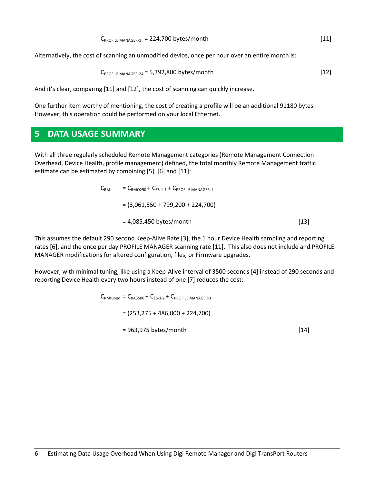| $C_{PROFILE MAXAGER-1}$ = 224,700 bytes/month | [11] |
|-----------------------------------------------|------|
|                                               |      |

Alternatively, the cost of scanning an unmodified device, once per hour over an entire month is:

$$
C_{PROFILE\ MANAGER-24} = 5,392,800\ bytes/month
$$
 [12]

And it's clear, comparing [11] and [12], the cost of scanning can quickly increase.

One further item worthy of mentioning, the cost of creating a profile will be an additional 91180 bytes. However, this operation could be performed on your local Ethernet.

## <span id="page-5-0"></span>**5 DATA USAGE SUMMARY**

With all three regularly scheduled Remote Management categories (Remote Management Connection Overhead, Device Health, profile management) defined, the total monthly Remote Management traffic estimate can be estimated by combining [5], [6] and [11]:

| $\mathsf{C}_\mathsf{RM}$ | $C_{\text{RMO290}} + C_{\text{FS-1-1}} + C_{\text{PROFII F MANAGFR-1}}$ |      |  |
|--------------------------|-------------------------------------------------------------------------|------|--|
|                          | $= (3,061,550 + 799,200 + 224,700)$                                     |      |  |
|                          | $= 4,085,450$ bytes/month                                               | [13] |  |

This assumes the default 290 second Keep-Alive Rate [3], the 1 hour Device Health sampling and reporting rates [6], and the once per day PROFILE MANAGER scanning rate [11]. This also does not include and PROFILE MANAGER modifications for altered configuration, files, or Firmware upgrades.

However, with minimal tuning, like using a Keep-Alive interval of 3500 seconds [4] instead of 290 seconds and reporting Device Health every two hours instead of one [7] reduces the cost:

 $C_{\text{RMtuned}} = C_{\text{KA3500}} + C_{\text{FS-1-2}} + C_{\text{PROFII F MANAGFR-1}}$ 

 $= (253, 275 + 486, 000 + 224, 700)$ 

 $= 963.975$  bytes/month [14]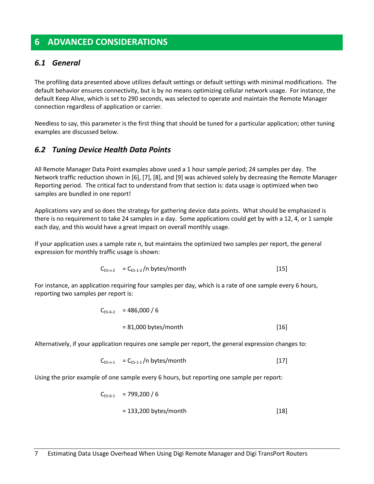## <span id="page-6-0"></span>**6 ADVANCED CONSIDERATIONS**

#### <span id="page-6-1"></span>*6.1 General*

The profiling data presented above utilizes default settings or default settings with minimal modifications. The default behavior ensures connectivity, but is by no means optimizing cellular network usage. For instance, the default Keep Alive, which is set to 290 seconds, was selected to operate and maintain the Remote Manager connection regardless of application or carrier.

Needless to say, this parameter is the first thing that should be tuned for a particular application; other tuning examples are discussed below.

#### <span id="page-6-2"></span>*6.2 Tuning Device Health Data Points*

All Remote Manager Data Point examples above used a 1 hour sample period; 24 samples per day. The Network traffic reduction shown in [6], [7], [8], and [9] was achieved solely by decreasing the Remote Manager Reporting period. The critical fact to understand from that section is: data usage is optimized when two samples are bundled in one report!

Applications vary and so does the strategy for gathering device data points. What should be emphasized is there is no requirement to take 24 samples in a day. Some applications could get by with a 12, 4, or 1 sample each day, and this would have a great impact on overall monthly usage.

If your application uses a sample rate n, but maintains the optimized two samples per report, the general expression for monthly traffic usage is shown:

$$
C_{ES-n-2} = C_{ES-1-2}/n
$$
 bytes/month [15]

For instance, an application requiring four samples per day, which is a rate of one sample every 6 hours, reporting two samples per report is:

$$
C_{ES-6-2} = 486,000 / 6
$$
  
= 81,000 bytes/month [16]

Alternatively, if your application requires one sample per report, the general expression changes to:

$$
C_{ES-n-1} = C_{ES-1-1}/n
$$
 bytes/month [17]

Using the prior example of one sample every 6 hours, but reporting one sample per report:

$$
C_{ES-6-1} = 799,200 / 6
$$
  
= 133,200 bytes/month [18]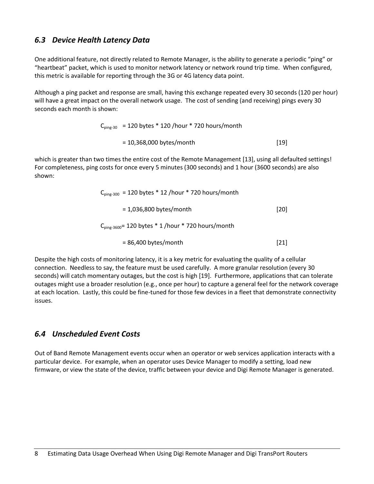#### <span id="page-7-0"></span>*6.3 Device Health Latency Data*

One additional feature, not directly related to Remote Manager, is the ability to generate a periodic "ping" or "heartbeat" packet, which is used to monitor network latency or network round trip time. When configured, this metric is available for reporting through the 3G or 4G latency data point.

Although a ping packet and response are small, having this exchange repeated every 30 seconds (120 per hour) will have a great impact on the overall network usage. The cost of sending (and receiving) pings every 30 seconds each month is shown:

> $C_{\text{ping-30}}$  = 120 bytes \* 120 /hour \* 720 hours/month  $= 10,368,000$  bytes/month [19]

which is greater than two times the entire cost of the Remote Management [13], using all defaulted settings! For completeness, ping costs for once every 5 minutes (300 seconds) and 1 hour (3600 seconds) are also shown:

| $C_{\text{ping-300}}$ = 120 bytes * 12 /hour * 720 hours/month |      |
|----------------------------------------------------------------|------|
| $= 1,036,800$ bytes/month                                      | [20] |
| $C_{\text{ping-3600}}$ = 120 bytes * 1 /hour * 720 hours/month |      |
| $= 86,400$ bytes/month                                         | [21] |

Despite the high costs of monitoring latency, it is a key metric for evaluating the quality of a cellular connection. Needless to say, the feature must be used carefully. A more granular resolution (every 30 seconds) will catch momentary outages, but the cost is high [19]. Furthermore, applications that can tolerate outages might use a broader resolution (e.g., once per hour) to capture a general feel for the network coverage at each location. Lastly, this could be fine-tuned for those few devices in a fleet that demonstrate connectivity issues.

#### <span id="page-7-1"></span>*6.4 Unscheduled Event Costs*

Out of Band Remote Management events occur when an operator or web services application interacts with a particular device. For example, when an operator uses Device Manager to modify a setting, load new firmware, or view the state of the device, traffic between your device and Digi Remote Manager is generated.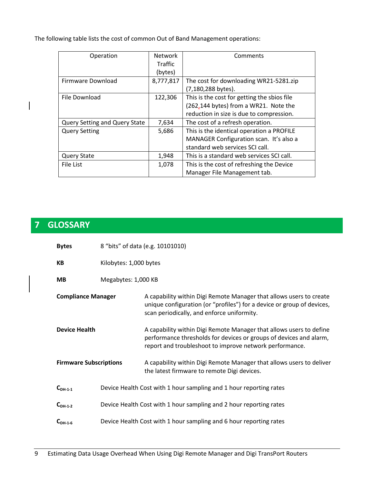The following table lists the cost of common Out of Band Management operations:

| Operation                     | <b>Network</b> | Comments                                    |
|-------------------------------|----------------|---------------------------------------------|
|                               | Traffic        |                                             |
|                               | (bytes)        |                                             |
| Firmware Download             | 8,777,817      | The cost for downloading WR21-5281.zip      |
|                               |                | (7,180,288 bytes).                          |
| File Download                 | 122,306        | This is the cost for getting the sbios file |
|                               |                | (262,144 bytes) from a WR21. Note the       |
|                               |                | reduction in size is due to compression.    |
| Query Setting and Query State | 7,634          | The cost of a refresh operation.            |
| <b>Query Setting</b>          | 5,686          | This is the identical operation a PROFILE   |
|                               |                | MANAGER Configuration scan. It's also a     |
|                               |                | standard web services SCI call.             |
| <b>Query State</b>            | 1,948          | This is a standard web services SCI call.   |
| File List                     | 1,078          | This is the cost of refreshing the Device   |
|                               |                | Manager File Management tab.                |

## <span id="page-8-0"></span>**7 GLOSSARY**

| <b>Bytes</b>                     |                                                                    | 8 "bits" of data (e.g. 10101010)                                                                                                                                                                     |
|----------------------------------|--------------------------------------------------------------------|------------------------------------------------------------------------------------------------------------------------------------------------------------------------------------------------------|
| Kilobytes: 1,000 bytes<br>KB     |                                                                    |                                                                                                                                                                                                      |
| Megabytes: 1,000 KB<br><b>MB</b> |                                                                    |                                                                                                                                                                                                      |
| <b>Compliance Manager</b>        |                                                                    | A capability within Digi Remote Manager that allows users to create<br>unique configuration (or "profiles") for a device or group of devices,<br>scan periodically, and enforce uniformity.          |
| <b>Device Health</b>             |                                                                    | A capability within Digi Remote Manager that allows users to define<br>performance thresholds for devices or groups of devices and alarm,<br>report and troubleshoot to improve network performance. |
| <b>Firmware Subscriptions</b>    |                                                                    | A capability within Digi Remote Manager that allows users to deliver<br>the latest firmware to remote Digi devices.                                                                                  |
| $C_{DH-1-1}$                     | Device Health Cost with 1 hour sampling and 1 hour reporting rates |                                                                                                                                                                                                      |
| $C_{DH-1-2}$                     | Device Health Cost with 1 hour sampling and 2 hour reporting rates |                                                                                                                                                                                                      |
| $C_{DH-1-6}$                     |                                                                    | Device Health Cost with 1 hour sampling and 6 hour reporting rates                                                                                                                                   |